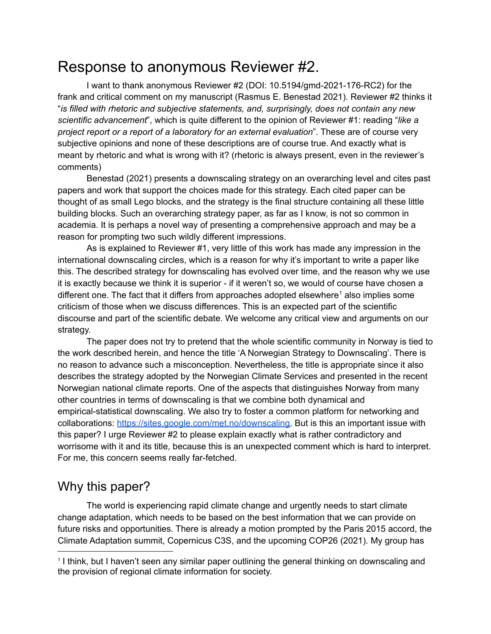# Response to anonymous Reviewer #2.

I want to thank anonymous Reviewer #2 (DOI: 10.5194/gmd-2021-176-RC2) for the frank and critical comment on my manuscript (Rasmus E. Benestad 2021). Reviewer #2 thinks it "*is filled with rhetoric and subjective statements, and, surprisingly, does not contain any new scientific advancement*", which is quite different to the opinion of Reviewer #1: reading "*like a project report or a report of a laboratory for an external evaluation*". These are of course very subjective opinions and none of these descriptions are of course true. And exactly what is meant by rhetoric and what is wrong with it? (rhetoric is always present, even in the reviewer's comments)

Benestad (2021) presents a downscaling strategy on an overarching level and cites past papers and work that support the choices made for this strategy. Each cited paper can be thought of as small Lego blocks, and the strategy is the final structure containing all these little building blocks. Such an overarching strategy paper, as far as I know, is not so common in academia. It is perhaps a novel way of presenting a comprehensive approach and may be a reason for prompting two such wildly different impressions.

As is explained to Reviewer #1, very little of this work has made any impression in the international downscaling circles, which is a reason for why it's important to write a paper like this. The described strategy for downscaling has evolved over time, and the reason why we use it is exactly because we think it is superior - if it weren't so, we would of course have chosen a different one. The fact that it differs from approaches adopted elsewhere<sup>1</sup> also implies some criticism of those when we discuss differences. This is an expected part of the scientific discourse and part of the scientific debate. We welcome any critical view and arguments on our strategy.

The paper does not try to pretend that the whole scientific community in Norway is tied to the work described herein, and hence the title 'A Norwegian Strategy to Downscaling'. There is no reason to advance such a misconception. Nevertheless, the title is appropriate since it also describes the strategy adopted by the Norwegian Climate Services and presented in the recent Norwegian national climate reports. One of the aspects that distinguishes Norway from many other countries in terms of downscaling is that we combine both dynamical and empirical-statistical downscaling. We also try to foster a common platform for networking and collaborations: [https://sites.google.com/met.no/downscaling.](https://sites.google.com/met.no/downscaling) But is this an important issue with this paper? I urge Reviewer #2 to please explain exactly what is rather contradictory and worrisome with it and its title, because this is an unexpected comment which is hard to interpret. For me, this concern seems really far-fetched.

#### Why this paper?

The world is experiencing rapid climate change and urgently needs to start climate change adaptation, which needs to be based on the best information that we can provide on future risks and opportunities. There is already a motion prompted by the Paris 2015 accord, the Climate Adaptation summit, Copernicus C3S, and the upcoming COP26 (2021). My group has

<sup>&</sup>lt;sup>1</sup> I think, but I haven't seen any similar paper outlining the general thinking on downscaling and the provision of regional climate information for society.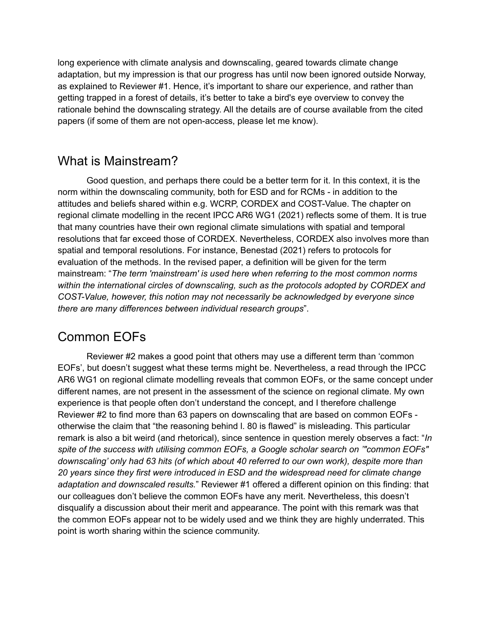long experience with climate analysis and downscaling, geared towards climate change adaptation, but my impression is that our progress has until now been ignored outside Norway, as explained to Reviewer #1. Hence, it's important to share our experience, and rather than getting trapped in a forest of details, it's better to take a bird's eye overview to convey the rationale behind the downscaling strategy. All the details are of course available from the cited papers (if some of them are not open-access, please let me know).

#### What is Mainstream?

Good question, and perhaps there could be a better term for it. In this context, it is the norm within the downscaling community, both for ESD and for RCMs - in addition to the attitudes and beliefs shared within e.g. WCRP, CORDEX and COST-Value. The chapter on regional climate modelling in the recent IPCC AR6 WG1 (2021) reflects some of them. It is true that many countries have their own regional climate simulations with spatial and temporal resolutions that far exceed those of CORDEX. Nevertheless, CORDEX also involves more than spatial and temporal resolutions. For instance, Benestad (2021) refers to protocols for evaluation of the methods. In the revised paper, a definition will be given for the term mainstream: "*The term 'mainstream' is used here when referring to the most common norms within the international circles of downscaling, such as the protocols adopted by CORDEX and COST-Value, however, this notion may not necessarily be acknowledged by everyone since there are many differences between individual research groups*".

### Common EOFs

Reviewer #2 makes a good point that others may use a different term than 'common EOFs', but doesn't suggest what these terms might be. Nevertheless, a read through the IPCC AR6 WG1 on regional climate modelling reveals that common EOFs, or the same concept under different names, are not present in the assessment of the science on regional climate. My own experience is that people often don't understand the concept, and I therefore challenge Reviewer #2 to find more than 63 papers on downscaling that are based on common EOFs otherwise the claim that "the reasoning behind l. 80 is flawed" is misleading. This particular remark is also a bit weird (and rhetorical), since sentence in question merely observes a fact: "*In spite of the success with utilising common EOFs, a Google scholar search on '"common EOFs" downscaling' only had 63 hits (of which about 40 referred to our own work), despite more than 20 years since they first were introduced in ESD and the widespread need for climate change adaptation and downscaled results.*" Reviewer #1 offered a different opinion on this finding: that our colleagues don't believe the common EOFs have any merit. Nevertheless, this doesn't disqualify a discussion about their merit and appearance. The point with this remark was that the common EOFs appear not to be widely used and we think they are highly underrated. This point is worth sharing within the science community.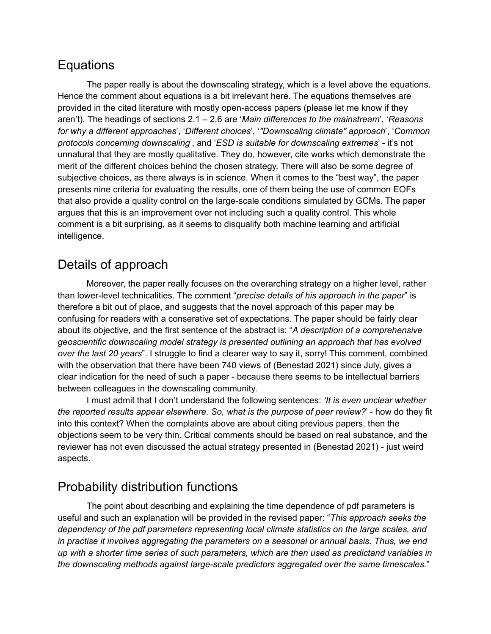#### **Equations**

The paper really is about the downscaling strategy, which is a level above the equations. Hence the comment about equations is a bit irrelevant here. The equations themselves are provided in the cited literature with mostly open-access papers (please let me know if they aren't). The headings of sections 2.1 – 2.6 are '*Main differences to the mainstream*', '*Reasons for why a different approaches*', '*Different choices*', '*"Downscaling climate" approach*', '*Common protocols concerning downscaling*', and '*ESD is suitable for downscaling extremes*' - it's not unnatural that they are mostly qualitative. They do, however, cite works which demonstrate the merit of the different choices behind the chosen strategy. There will also be some degree of subjective choices, as there always is in science. When it comes to the "best way", the paper presents nine criteria for evaluating the results, one of them being the use of common EOFs that also provide a quality control on the large-scale conditions simulated by GCMs. The paper argues that this is an improvement over not including such a quality control. This whole comment is a bit surprising, as it seems to disqualify both machine learning and artificial intelligence.

#### Details of approach

Moreover, the paper really focuses on the overarching strategy on a higher level, rather than lower-level technicalities. The comment "*precise details of his approach in the paper*" is therefore a bit out of place, and suggests that the novel approach of this paper may be confusing for readers with a conserative set of expectations. The paper should be fairly clear about its objective, and the first sentence of the abstract is: "*A description of a comprehensive geoscientific downscaling model strategy is presented outlining an approach that has evolved over the last 20 years*". I struggle to find a clearer way to say it, sorry! This comment, combined with the observation that there have been 740 views of (Benestad 2021) since July, gives a clear indication for the need of such a paper - because there seems to be intellectual barriers between colleagues in the downscaling community.

I must admit that I don't understand the following sentences: *'It is even unclear whether the reported results appear elsewhere. So, what is the purpose of peer review?*' - how do they fit into this context? When the complaints above are about citing previous papers, then the objections seem to be very thin. Critical comments should be based on real substance, and the reviewer has not even discussed the actual strategy presented in (Benestad 2021) - just weird aspects.

#### Probability distribution functions

The point about describing and explaining the time dependence of pdf parameters is useful and such an explanation will be provided in the revised paper: "*This approach seeks the dependency of the pdf parameters representing local climate statistics on the large scales, and in practise it involves aggregating the parameters on a seasonal or annual basis. Thus, we end up with a shorter time series of such parameters, which are then used as predictand variables in the downscaling methods against large-scale predictors aggregated over the same timescales.*"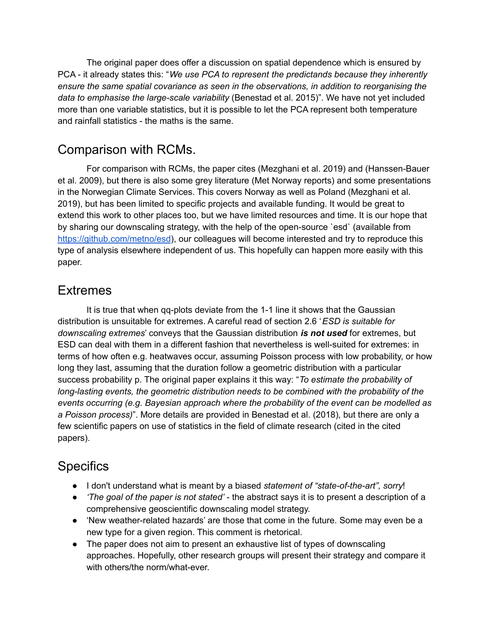The original paper does offer a discussion on spatial dependence which is ensured by PCA - it already states this: "*We use PCA to represent the predictands because they inherently ensure the same spatial covariance as seen in the observations, in addition to reorganising the data to emphasise the large-scale variability* (Benestad et al. 2015)". We have not yet included more than one variable statistics, but it is possible to let the PCA represent both temperature and rainfall statistics - the maths is the same.

#### Comparison with RCMs.

For comparison with RCMs, the paper cites (Mezghani et al. 2019) and (Hanssen-Bauer et al. 2009), but there is also some grey literature (Met Norway reports) and some presentations in the Norwegian Climate Services. This covers Norway as well as Poland (Mezghani et al. 2019), but has been limited to specific projects and available funding. It would be great to extend this work to other places too, but we have limited resources and time. It is our hope that by sharing our downscaling strategy, with the help of the open-source `esd` (available from <https://github.com/metno/esd>), our colleagues will become interested and try to reproduce this type of analysis elsewhere independent of us. This hopefully can happen more easily with this paper.

#### **Extremes**

It is true that when qq-plots deviate from the 1-1 line it shows that the Gaussian distribution is unsuitable for extremes. A careful read of section 2.6 '*ESD is suitable for downscaling extremes*' conveys that the Gaussian distribution *is not used* for extremes, but ESD can deal with them in a different fashion that nevertheless is well-suited for extremes: in terms of how often e.g. heatwaves occur, assuming Poisson process with low probability, or how long they last, assuming that the duration follow a geometric distribution with a particular success probability p. The original paper explains it this way: "*To estimate the probability of long-lasting events, the geometric distribution needs to be combined with the probability of the events occurring (e.g. Bayesian approach where the probability of the event can be modelled as a Poisson process)*". More details are provided in Benestad et al. (2018), but there are only a few scientific papers on use of statistics in the field of climate research (cited in the cited papers).

## **Specifics**

- I don't understand what is meant by a biased *statement of "state-of-the-art", sorry*!
- *'The goal of the paper is not stated'* the abstract says it is to present a description of a comprehensive geoscientific downscaling model strategy.
- 'New weather-related hazards' are those that come in the future. Some may even be a new type for a given region. This comment is rhetorical.
- The paper does not aim to present an exhaustive list of types of downscaling approaches. Hopefully, other research groups will present their strategy and compare it with others/the norm/what-ever.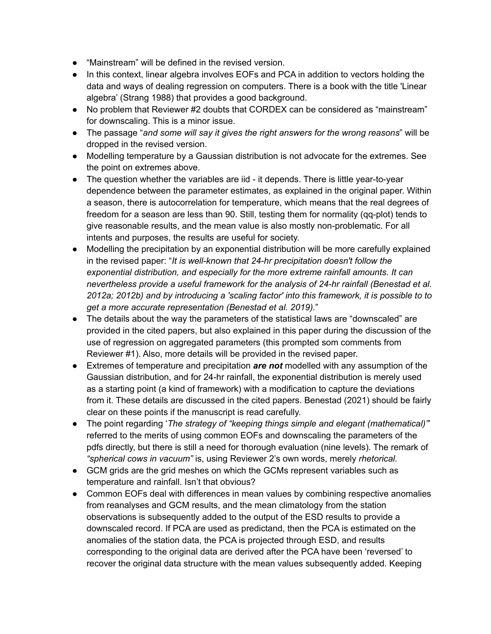- "Mainstream" will be defined in the revised version.
- In this context, linear algebra involves EOFs and PCA in addition to vectors holding the data and ways of dealing regression on computers. There is a book with the title 'Linear algebra' (Strang 1988) that provides a good background.
- No problem that Reviewer #2 doubts that CORDEX can be considered as "mainstream" for downscaling. This is a minor issue.
- The passage "*and some will say it gives the right answers for the wrong reasons*" will be dropped in the revised version.
- Modelling temperature by a Gaussian distribution is not advocate for the extremes. See the point on extremes above.
- The question whether the variables are iid it depends. There is little year-to-year dependence between the parameter estimates, as explained in the original paper. Within a season, there is autocorrelation for temperature, which means that the real degrees of freedom for a season are less than 90. Still, testing them for normality (qq-plot) tends to give reasonable results, and the mean value is also mostly non-problematic. For all intents and purposes, the results are useful for society.
- Modelling the precipitation by an exponential distribution will be more carefully explained in the revised paper: "*It is well-known that 24-hr precipitation doesn't follow the exponential distribution, and especially for the more extreme rainfall amounts. It can nevertheless provide a useful framework for the analysis of 24-hr rainfall (Benestad et al. 2012a; 2012b) and by introducing a 'scaling factor' into this framework, it is possible to to get a more accurate representation (Benestad et al. 2019).*"
- The details about the way the parameters of the statistical laws are "downscaled" are provided in the cited papers, but also explained in this paper during the discussion of the use of regression on aggregated parameters (this prompted som comments from Reviewer #1). Also, more details will be provided in the revised paper.
- Extremes of temperature and precipitation *are not* modelled with any assumption of the Gaussian distribution, and for 24-hr rainfall, the exponential distribution is merely used as a starting point (a kind of framework) with a modification to capture the deviations from it. These details are discussed in the cited papers. Benestad (2021) should be fairly clear on these points if the manuscript is read carefully.
- The point regarding '*The strategy of "keeping things simple and elegant (mathematical)"*' referred to the merits of using common EOFs and downscaling the parameters of the pdfs directly, but there is still a need for thorough evaluation (nine levels). The remark of *"spherical cows in vacuum"* is, using Reviewer 2's own words, merely *rhetorical.*
- GCM grids are the grid meshes on which the GCMs represent variables such as temperature and rainfall. Isn't that obvious?
- Common EOFs deal with differences in mean values by combining respective anomalies from reanalyses and GCM results, and the mean climatology from the station observations is subsequently added to the output of the ESD results to provide a downscaled record. If PCA are used as predictand, then the PCA is estimated on the anomalies of the station data, the PCA is projected through ESD, and results corresponding to the original data are derived after the PCA have been 'reversed' to recover the original data structure with the mean values subsequently added. Keeping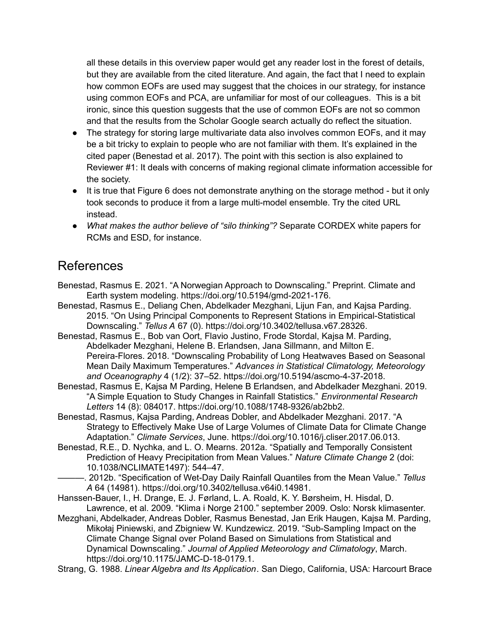all these details in this overview paper would get any reader lost in the forest of details, but they are available from the cited literature. And again, the fact that I need to explain how common EOFs are used may suggest that the choices in our strategy, for instance using common EOFs and PCA, are unfamiliar for most of our colleagues. This is a bit ironic, since this question suggests that the use of common EOFs are not so common and that the results from the Scholar Google search actually do reflect the situation.

- The strategy for storing large multivariate data also involves common EOFs, and it may be a bit tricky to explain to people who are not familiar with them. It's explained in the cited paper (Benestad et al. 2017). The point with this section is also explained to Reviewer #1: It deals with concerns of making regional climate information accessible for the society.
- It is true that Figure 6 does not demonstrate anything on the storage method but it only took seconds to produce it from a large multi-model ensemble. Try the cited URL instead.
- *What makes the author believe of "silo thinking"?* Separate CORDEX white papers for RCMs and ESD, for instance.

#### References

Benestad, Rasmus E. 2021. "A Norwegian Approach to Downscaling." Preprint. Climate and Earth system modeling. https://doi.org/10.5194/gmd-2021-176.

Benestad, Rasmus E., Deliang Chen, Abdelkader Mezghani, Lijun Fan, and Kajsa Parding. 2015. "On Using Principal Components to Represent Stations in Empirical-Statistical Downscaling." *Tellus A* 67 (0). https://doi.org/10.3402/tellusa.v67.28326.

Benestad, Rasmus E., Bob van Oort, Flavio Justino, Frode Stordal, Kajsa M. Parding, Abdelkader Mezghani, Helene B. Erlandsen, Jana Sillmann, and Milton E. Pereira-Flores. 2018. "Downscaling Probability of Long Heatwaves Based on Seasonal Mean Daily Maximum Temperatures." *Advances in Statistical Climatology, Meteorology and Oceanography* 4 (1/2): 37–52. https://doi.org/10.5194/ascmo-4-37-2018.

Benestad, Rasmus E, Kajsa M Parding, Helene B Erlandsen, and Abdelkader Mezghani. 2019. "A Simple Equation to Study Changes in Rainfall Statistics." *Environmental Research Letters* 14 (8): 084017. https://doi.org/10.1088/1748-9326/ab2bb2.

Benestad, Rasmus, Kajsa Parding, Andreas Dobler, and Abdelkader Mezghani. 2017. "A Strategy to Effectively Make Use of Large Volumes of Climate Data for Climate Change Adaptation." *Climate Services*, June. https://doi.org/10.1016/j.cliser.2017.06.013.

Benestad, R.E., D. Nychka, and L. O. Mearns. 2012a. "Spatially and Temporally Consistent Prediction of Heavy Precipitation from Mean Values." *Nature Climate Change* 2 (doi: 10.1038/NCLIMATE1497): 544–47.

———. 2012b. "Specification of Wet-Day Daily Rainfall Quantiles from the Mean Value." *Tellus A* 64 (14981). https://doi.org/10.3402/tellusa.v64i0.14981.

Hanssen-Bauer, I., H. Drange, E. J. Førland, L. A. Roald, K. Y. Børsheim, H. Hisdal, D. Lawrence, et al. 2009. "Klima i Norge 2100." september 2009. Oslo: Norsk klimasenter.

Mezghani, Abdelkader, Andreas Dobler, Rasmus Benestad, Jan Erik Haugen, Kajsa M. Parding, Mikołaj Piniewski, and Zbigniew W. Kundzewicz. 2019. "Sub-Sampling Impact on the Climate Change Signal over Poland Based on Simulations from Statistical and Dynamical Downscaling." *Journal of Applied Meteorology and Climatology*, March. https://doi.org/10.1175/JAMC-D-18-0179.1.

Strang, G. 1988. *Linear Algebra and Its Application*. San Diego, California, USA: Harcourt Brace